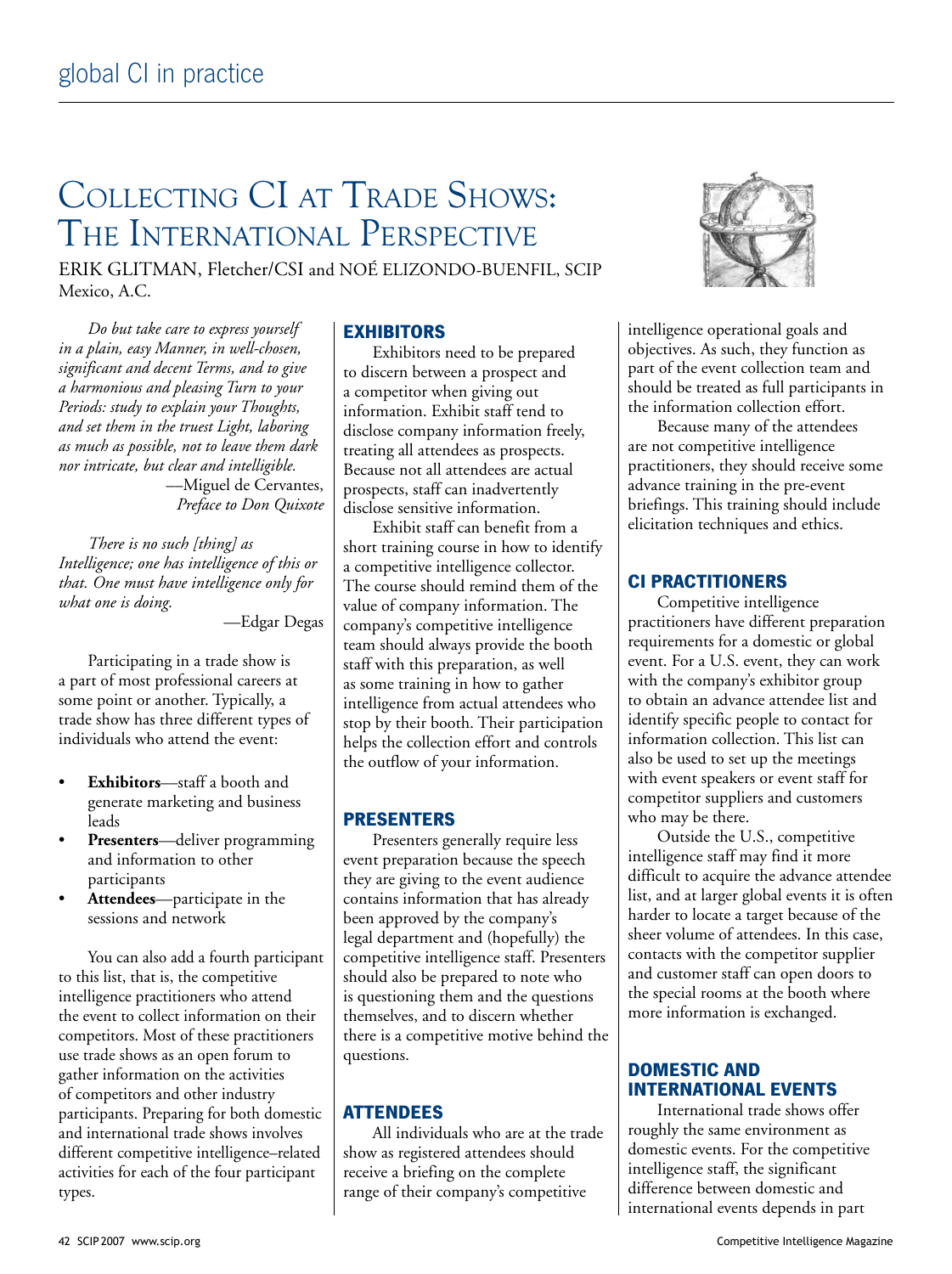# Collecting CI at Trade Shows: The International Perspective

Erik Glitman, Fletcher/CSI and Noé Elizondo-Buenfil, SCIP Mexico, A.C.

*Do but take care to express yourself in a plain, easy Manner, in well-chosen, significant and decent Terms, and to give a harmonious and pleasing Turn to your Periods: study to explain your Thoughts, and set them in the truest Light, laboring as much as possible, not to leave them dark nor intricate, but clear and intelligible.* 

––Miguel de Cervantes, *Preface to Don Quixote*

*There is no such [thing] as Intelligence; one has intelligence of this or that. One must have intelligence only for what one is doing.*

––Edgar Degas

Participating in a trade show is a part of most professional careers at some point or another. Typically, a trade show has three different types of individuals who attend the event:

- **Exhibitors**––staff a booth and generate marketing and business leads
- Presenters-deliver programming and information to other participants
- **Attendees**––participate in the sessions and network

You can also add a fourth participant to this list, that is, the competitive intelligence practitioners who attend the event to collect information on their competitors. Most of these practitioners use trade shows as an open forum to gather information on the activities of competitors and other industry participants. Preparing for both domestic and international trade shows involves different competitive intelligence–related activities for each of the four participant types.

#### **Exhibitors**

Exhibitors need to be prepared to discern between a prospect and a competitor when giving out information. Exhibit staff tend to disclose company information freely, treating all attendees as prospects. Because not all attendees are actual prospects, staff can inadvertently disclose sensitive information.

Exhibit staff can benefit from a short training course in how to identify a competitive intelligence collector. The course should remind them of the value of company information. The company's competitive intelligence team should always provide the booth staff with this preparation, as well as some training in how to gather intelligence from actual attendees who stop by their booth. Their participation helps the collection effort and controls the outflow of your information.

#### **Presenters**

Presenters generally require less event preparation because the speech they are giving to the event audience contains information that has already been approved by the company's legal department and (hopefully) the competitive intelligence staff. Presenters should also be prepared to note who is questioning them and the questions themselves, and to discern whether there is a competitive motive behind the questions.

# **Attendees**

All individuals who are at the trade show as registered attendees should receive a briefing on the complete range of their company's competitive



intelligence operational goals and objectives. As such, they function as part of the event collection team and should be treated as full participants in the information collection effort.

Because many of the attendees are not competitive intelligence practitioners, they should receive some advance training in the pre-event briefings. This training should include elicitation techniques and ethics.

#### **CI Practitioners**

Competitive intelligence practitioners have different preparation requirements for a domestic or global event. For a U.S. event, they can work with the company's exhibitor group to obtain an advance attendee list and identify specific people to contact for information collection. This list can also be used to set up the meetings with event speakers or event staff for competitor suppliers and customers who may be there.

Outside the U.S., competitive intelligence staff may find it more difficult to acquire the advance attendee list, and at larger global events it is often harder to locate a target because of the sheer volume of attendees. In this case, contacts with the competitor supplier and customer staff can open doors to the special rooms at the booth where more information is exchanged.

# **Domestic and International Events**

International trade shows offer roughly the same environment as domestic events. For the competitive intelligence staff, the significant difference between domestic and international events depends in part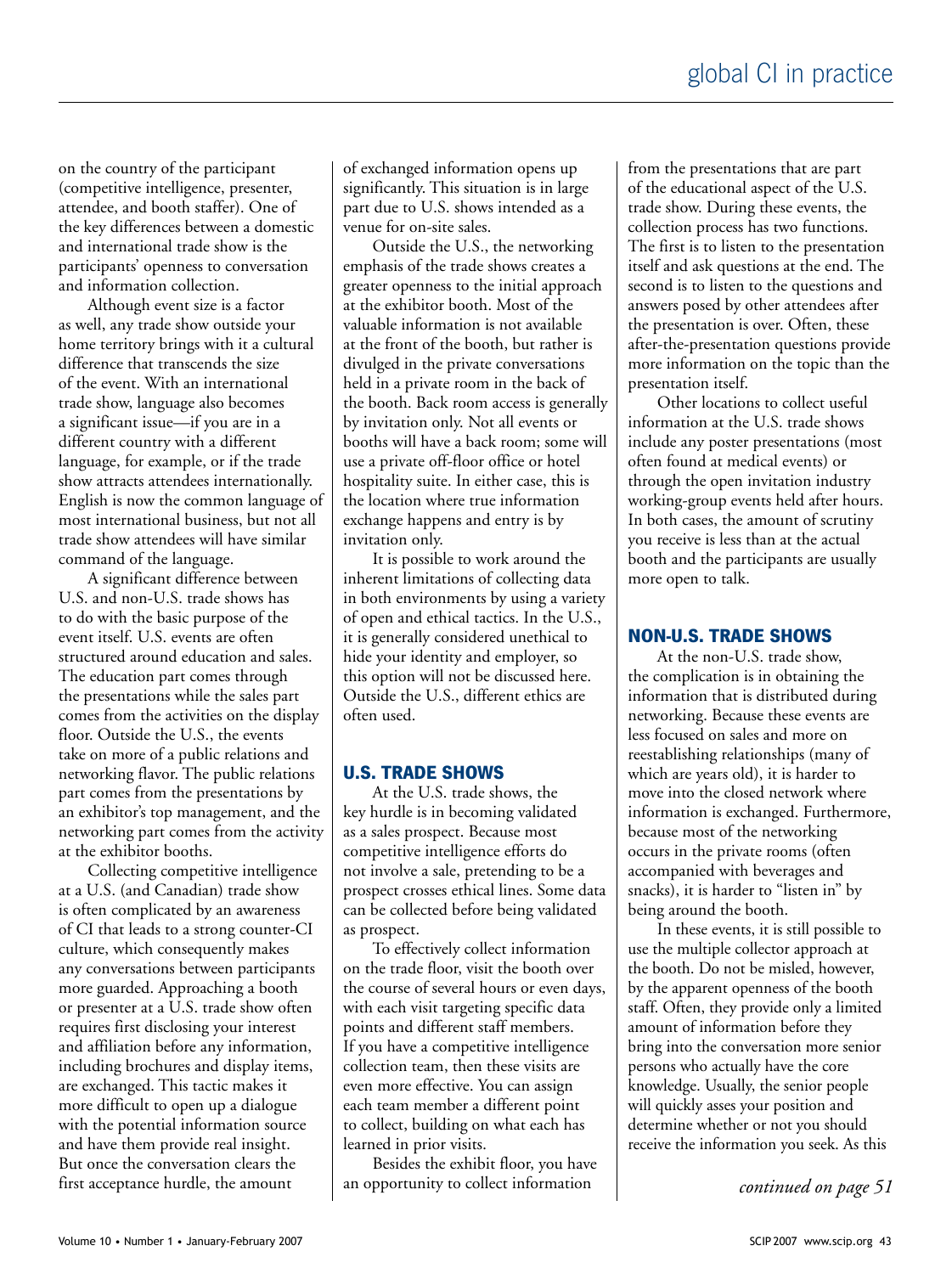on the country of the participant (competitive intelligence, presenter, attendee, and booth staffer). One of the key differences between a domestic and international trade show is the participants' openness to conversation and information collection.

Although event size is a factor as well, any trade show outside your home territory brings with it a cultural difference that transcends the size of the event. With an international trade show, language also becomes a significant issue—if you are in a different country with a different language, for example, or if the trade show attracts attendees internationally. English is now the common language of most international business, but not all trade show attendees will have similar command of the language.

A significant difference between U.S. and non-U.S. trade shows has to do with the basic purpose of the event itself. U.S. events are often structured around education and sales. The education part comes through the presentations while the sales part comes from the activities on the display floor. Outside the U.S., the events take on more of a public relations and networking flavor. The public relations part comes from the presentations by an exhibitor's top management, and the networking part comes from the activity at the exhibitor booths.

Collecting competitive intelligence at a U.S. (and Canadian) trade show is often complicated by an awareness of CI that leads to a strong counter-CI culture, which consequently makes any conversations between participants more guarded. Approaching a booth or presenter at a U.S. trade show often requires first disclosing your interest and affiliation before any information, including brochures and display items, are exchanged. This tactic makes it more difficult to open up a dialogue with the potential information source and have them provide real insight. But once the conversation clears the first acceptance hurdle, the amount

of exchanged information opens up significantly. This situation is in large part due to U.S. shows intended as a venue for on-site sales.

Outside the U.S., the networking emphasis of the trade shows creates a greater openness to the initial approach at the exhibitor booth. Most of the valuable information is not available at the front of the booth, but rather is divulged in the private conversations held in a private room in the back of the booth. Back room access is generally by invitation only. Not all events or booths will have a back room; some will use a private off-floor office or hotel hospitality suite. In either case, this is the location where true information exchange happens and entry is by invitation only.

It is possible to work around the inherent limitations of collecting data in both environments by using a variety of open and ethical tactics. In the U.S., it is generally considered unethical to hide your identity and employer, so this option will not be discussed here. Outside the U.S., different ethics are often used.

# **U.S. Trade Shows**

At the U.S. trade shows, the key hurdle is in becoming validated as a sales prospect. Because most competitive intelligence efforts do not involve a sale, pretending to be a prospect crosses ethical lines. Some data can be collected before being validated as prospect.

To effectively collect information on the trade floor, visit the booth over the course of several hours or even days, with each visit targeting specific data points and different staff members. If you have a competitive intelligence collection team, then these visits are even more effective. You can assign each team member a different point to collect, building on what each has learned in prior visits.

Besides the exhibit floor, you have an opportunity to collect information

from the presentations that are part of the educational aspect of the U.S. trade show. During these events, the collection process has two functions. The first is to listen to the presentation itself and ask questions at the end. The second is to listen to the questions and answers posed by other attendees after the presentation is over. Often, these after-the-presentation questions provide more information on the topic than the presentation itself.

Other locations to collect useful information at the U.S. trade shows include any poster presentations (most often found at medical events) or through the open invitation industry working-group events held after hours. In both cases, the amount of scrutiny you receive is less than at the actual booth and the participants are usually more open to talk.

#### **Non-U.S. Trade Shows**

At the non-U.S. trade show, the complication is in obtaining the information that is distributed during networking. Because these events are less focused on sales and more on reestablishing relationships (many of which are years old), it is harder to move into the closed network where information is exchanged. Furthermore, because most of the networking occurs in the private rooms (often accompanied with beverages and snacks), it is harder to "listen in" by being around the booth.

In these events, it is still possible to use the multiple collector approach at the booth. Do not be misled, however, by the apparent openness of the booth staff. Often, they provide only a limited amount of information before they bring into the conversation more senior persons who actually have the core knowledge. Usually, the senior people will quickly asses your position and determine whether or not you should receive the information you seek. As this

*continued on page 51*